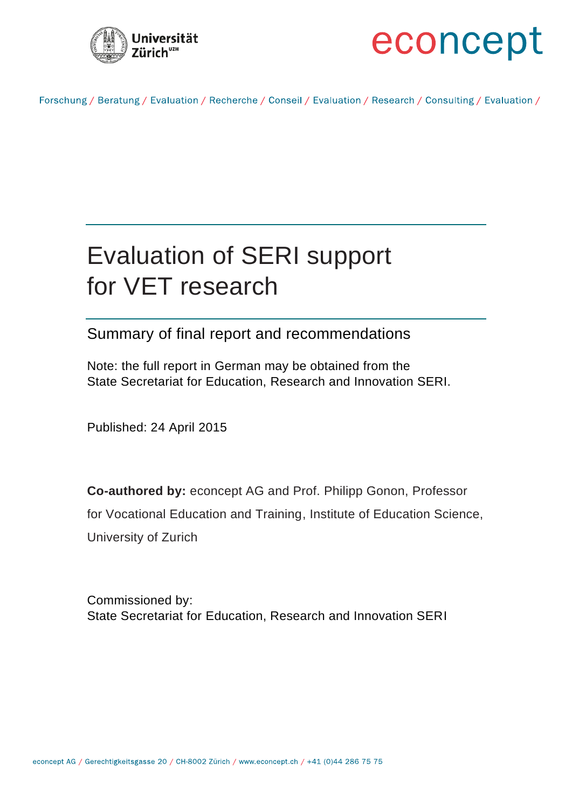



Forschung / Beratung / Evaluation / Recherche / Conseil / Evaluation / Research / Consulting / Evaluation /

# Evaluation of SERI support for VET research

# Summary of final report and recommendations

Note: the full report in German may be obtained from the State Secretariat for Education, Research and Innovation SERI.

Published: 24 April 2015

**Co-authored by:** econcept AG and Prof. Philipp Gonon, Professor for Vocational Education and Training, Institute of Education Science, University of Zurich

Commissioned by: State Secretariat for Education, Research and Innovation SERI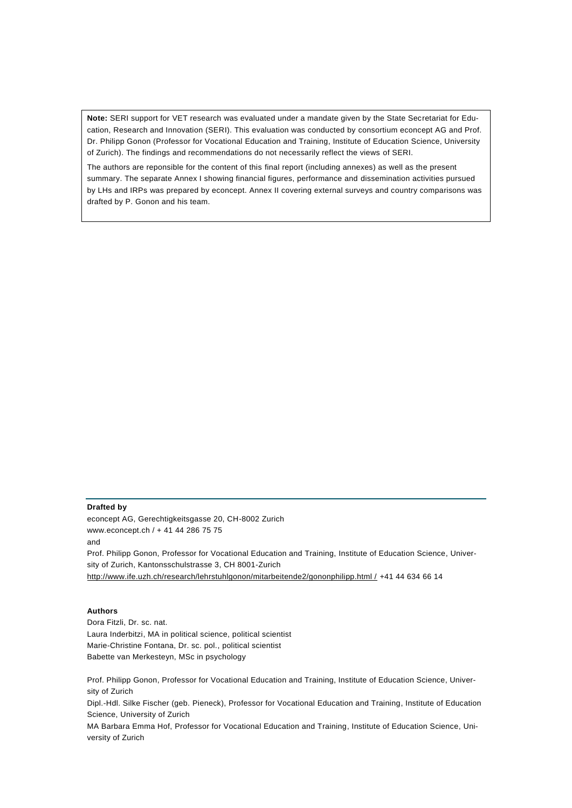**Note:** SERI support for VET research was evaluated under a mandate given by the State Secretariat for Education, Research and Innovation (SERI). This evaluation was conducted by consortium econcept AG and Prof. Dr. Philipp Gonon (Professor for Vocational Education and Training, Institute of Education Science, University of Zurich). The findings and recommendations do not necessarily reflect the views of SERI.

The authors are reponsible for the content of this final report (including annexes) as well as the present summary. The separate Annex I showing financial figures, performance and dissemination activities pursued by LHs and IRPs was prepared by econcept. Annex II covering external surveys and country comparisons was drafted by P. Gonon and his team.

#### **Drafted by**

econcept AG, Gerechtigkeitsgasse 20, CH-8002 Zurich www.econcept.ch / + 41 44 286 75 75 and Prof. Philipp Gonon, Professor for Vocational Education and Training, Institute of Education Science, University of Zurich, Kantonsschulstrasse 3, CH 8001-Zurich [http://www.ife.uzh.ch/research/lehrstuhlgonon/mitarbeitende2/gononphilipp.html /](http://www.ife.uzh.ch/research/lehrstuhlgonon/mitarbeitende2/gononphilipp.html%20/) +41 44 634 66 14

#### **Authors**

Dora Fitzli, Dr. sc. nat. Laura Inderbitzi, MA in political science, political scientist Marie-Christine Fontana, Dr. sc. pol., political scientist Babette van Merkesteyn, MSc in psychology

Prof. Philipp Gonon, Professor for Vocational Education and Training, Institute of Education Science, University of Zurich

Dipl.-Hdl. Silke Fischer (geb. Pieneck), Professor for Vocational Education and Training, Institute of Education Science, University of Zurich

MA Barbara Emma Hof, Professor for Vocational Education and Training, Institute of Education Science, University of Zurich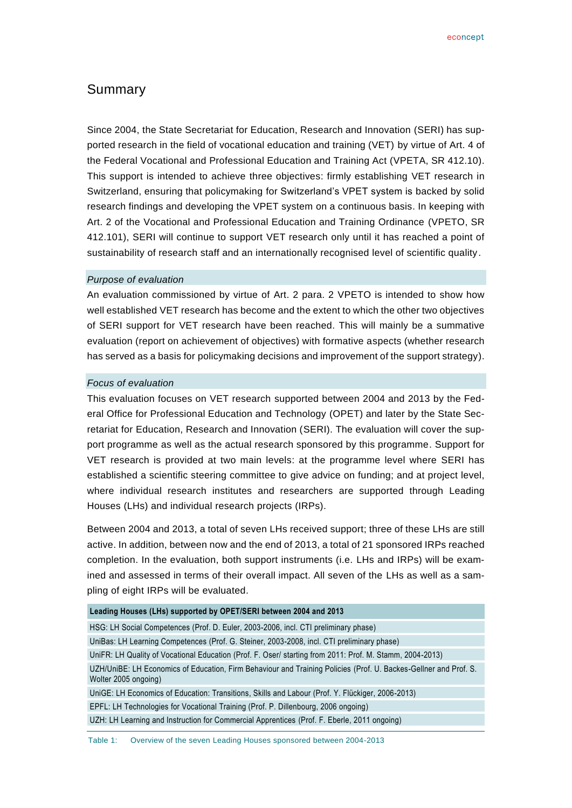# Summary

Since 2004, the State Secretariat for Education, Research and Innovation (SERI) has supported research in the field of vocational education and training (VET) by virtue of Art. 4 of the Federal Vocational and Professional Education and Training Act (VPETA, SR 412.10). This support is intended to achieve three objectives: firmly establishing VET research in Switzerland, ensuring that policymaking for Switzerland's VPET system is backed by solid research findings and developing the VPET system on a continuous basis. In keeping with Art. 2 of the Vocational and Professional Education and Training Ordinance (VPETO, SR 412.101), SERI will continue to support VET research only until it has reached a point of sustainability of research staff and an internationally recognised level of scientific quality.

#### *Purpose of evaluation*

An evaluation commissioned by virtue of Art. 2 para. 2 VPETO is intended to show how well established VET research has become and the extent to which the other two objectives of SERI support for VET research have been reached. This will mainly be a summative evaluation (report on achievement of objectives) with formative aspects (whether research has served as a basis for policymaking decisions and improvement of the support strategy).

#### *Focus of evaluation*

This evaluation focuses on VET research supported between 2004 and 2013 by the Federal Office for Professional Education and Technology (OPET) and later by the State Secretariat for Education, Research and Innovation (SERI). The evaluation will cover the support programme as well as the actual research sponsored by this programme. Support for VET research is provided at two main levels: at the programme level where SERI has established a scientific steering committee to give advice on funding; and at project level, where individual research institutes and researchers are supported through Leading Houses (LHs) and individual research projects (IRPs).

Between 2004 and 2013, a total of seven LHs received support; three of these LHs are still active. In addition, between now and the end of 2013, a total of 21 sponsored IRPs reached completion. In the evaluation, both support instruments (i.e. LHs and IRPs) will be examined and assessed in terms of their overall impact. All seven of the LHs as well as a sampling of eight IRPs will be evaluated.

| Leading Houses (LHs) supported by OPET/SERI between 2004 and 2013                                                                        |  |  |  |
|------------------------------------------------------------------------------------------------------------------------------------------|--|--|--|
| HSG: LH Social Competences (Prof. D. Euler, 2003-2006, incl. CTI preliminary phase)                                                      |  |  |  |
| UniBas: LH Learning Competences (Prof. G. Steiner, 2003-2008, incl. CTI preliminary phase)                                               |  |  |  |
| UniFR: LH Quality of Vocational Education (Prof. F. Oser/ starting from 2011: Prof. M. Stamm, 2004-2013)                                 |  |  |  |
| UZH/UniBE: LH Economics of Education, Firm Behaviour and Training Policies (Prof. U. Backes-Gellner and Prof. S.<br>Wolter 2005 ongoing) |  |  |  |
| UniGE: LH Economics of Education: Transitions, Skills and Labour (Prof. Y. Flückiger, 2006-2013)                                         |  |  |  |
| EPFL: LH Technologies for Vocational Training (Prof. P. Dillenbourg, 2006 ongoing)                                                       |  |  |  |
| UZH: LH Learning and Instruction for Commercial Apprentices (Prof. F. Eberle, 2011 ongoing)                                              |  |  |  |

Table 1: Overview of the seven Leading Houses sponsored between 2004-2013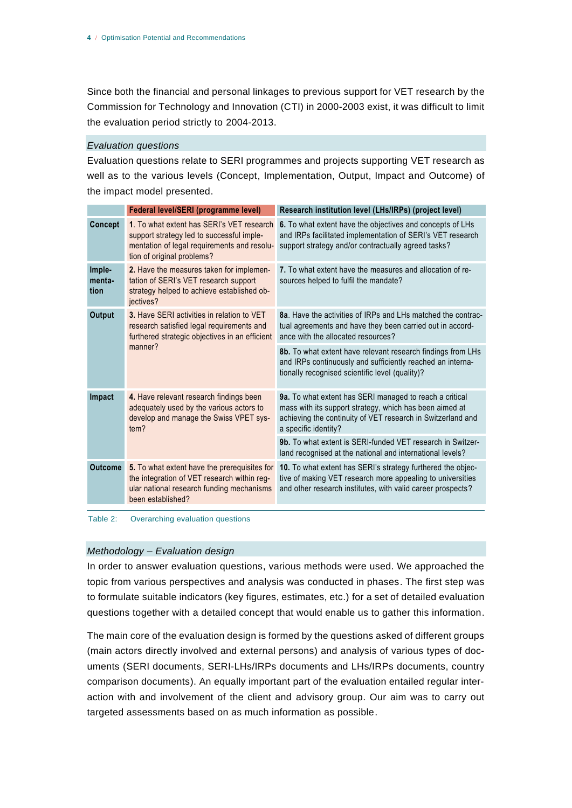Since both the financial and personal linkages to previous support for VET research by the Commission for Technology and Innovation (CTI) in 2000-2003 exist, it was difficult to limit the evaluation period strictly to 2004-2013.

#### *Evaluation questions*

Evaluation questions relate to SERI programmes and projects supporting VET research as well as to the various levels (Concept, Implementation, Output, Impact and Outcome) of the impact model presented.

|                          | Federal level/SERI (programme level)                                                                                                                                | Research institution level (LHs/IRPs) (project level)                                                                                                                                                     |
|--------------------------|---------------------------------------------------------------------------------------------------------------------------------------------------------------------|-----------------------------------------------------------------------------------------------------------------------------------------------------------------------------------------------------------|
| <b>Concept</b>           | 1. To what extent has SERI's VET research<br>support strategy led to successful imple-<br>mentation of legal requirements and resolu-<br>tion of original problems? | 6. To what extent have the objectives and concepts of LHs<br>and IRPs facilitated implementation of SERI's VET research<br>support strategy and/or contractually agreed tasks?                            |
| Imple-<br>menta-<br>tion | 2. Have the measures taken for implemen-<br>tation of SERI's VET research support<br>strategy helped to achieve established ob-<br>jectives?                        | 7. To what extent have the measures and allocation of re-<br>sources helped to fulfil the mandate?                                                                                                        |
| Output                   | 3. Have SERI activities in relation to VET<br>research satisfied legal requirements and<br>furthered strategic objectives in an efficient<br>manner?                | 8a. Have the activities of IRPs and LHs matched the contrac-<br>tual agreements and have they been carried out in accord-<br>ance with the allocated resources?                                           |
|                          |                                                                                                                                                                     | 8b. To what extent have relevant research findings from LHs<br>and IRPs continuously and sufficiently reached an interna-<br>tionally recognised scientific level (quality)?                              |
| Impact                   | 4. Have relevant research findings been<br>adequately used by the various actors to<br>develop and manage the Swiss VPET sys-<br>tem?                               | 9a. To what extent has SERI managed to reach a critical<br>mass with its support strategy, which has been aimed at<br>achieving the continuity of VET research in Switzerland and<br>a specific identity? |
|                          |                                                                                                                                                                     | 9b. To what extent is SERI-funded VET research in Switzer-<br>land recognised at the national and international levels?                                                                                   |
| <b>Outcome</b>           | 5. To what extent have the prerequisites for<br>the integration of VET research within reg-<br>ular national research funding mechanisms<br>been established?       | 10. To what extent has SERI's strategy furthered the objec-<br>tive of making VET research more appealing to universities<br>and other research institutes, with valid career prospects?                  |

Table 2: Overarching evaluation questions

#### *Methodology – Evaluation design*

In order to answer evaluation questions, various methods were used. We approached the topic from various perspectives and analysis was conducted in phases. The first step was to formulate suitable indicators (key figures, estimates, etc.) for a set of detailed evaluation questions together with a detailed concept that would enable us to gather this information.

The main core of the evaluation design is formed by the questions asked of different groups (main actors directly involved and external persons) and analysis of various types of documents (SERI documents, SERI-LHs/IRPs documents and LHs/IRPs documents, country comparison documents). An equally important part of the evaluation entailed regular interaction with and involvement of the client and advisory group. Our aim was to carry out targeted assessments based on as much information as possible.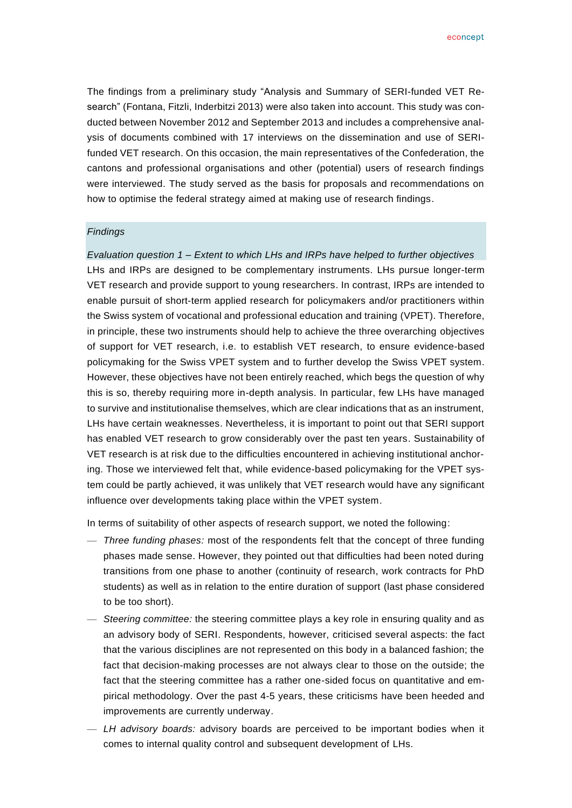The findings from a preliminary study "Analysis and Summary of SERI-funded VET Research" (Fontana, Fitzli, Inderbitzi 2013) were also taken into account. This study was conducted between November 2012 and September 2013 and includes a comprehensive analysis of documents combined with 17 interviews on the dissemination and use of SERIfunded VET research. On this occasion, the main representatives of the Confederation, the cantons and professional organisations and other (potential) users of research findings were interviewed. The study served as the basis for proposals and recommendations on how to optimise the federal strategy aimed at making use of research findings.

#### *Findings*

*Evaluation question 1 – Extent to which LHs and IRPs have helped to further objectives* LHs and IRPs are designed to be complementary instruments. LHs pursue longer-term VET research and provide support to young researchers. In contrast, IRPs are intended to enable pursuit of short-term applied research for policymakers and/or practitioners within the Swiss system of vocational and professional education and training (VPET). Therefore, in principle, these two instruments should help to achieve the three overarching objectives of support for VET research, i.e. to establish VET research, to ensure evidence-based policymaking for the Swiss VPET system and to further develop the Swiss VPET system. However, these objectives have not been entirely reached, which begs the question of why this is so, thereby requiring more in-depth analysis. In particular, few LHs have managed to survive and institutionalise themselves, which are clear indications that as an instrument, LHs have certain weaknesses. Nevertheless, it is important to point out that SERI support has enabled VET research to grow considerably over the past ten years. Sustainability of VET research is at risk due to the difficulties encountered in achieving institutional anchoring. Those we interviewed felt that, while evidence-based policymaking for the VPET system could be partly achieved, it was unlikely that VET research would have any significant influence over developments taking place within the VPET system.

In terms of suitability of other aspects of research support, we noted the following:

- *Three funding phases:* most of the respondents felt that the concept of three funding phases made sense. However, they pointed out that difficulties had been noted during transitions from one phase to another (continuity of research, work contracts for PhD students) as well as in relation to the entire duration of support (last phase considered to be too short).
- *Steering committee:* the steering committee plays a key role in ensuring quality and as an advisory body of SERI. Respondents, however, criticised several aspects: the fact that the various disciplines are not represented on this body in a balanced fashion; the fact that decision-making processes are not always clear to those on the outside; the fact that the steering committee has a rather one-sided focus on quantitative and empirical methodology. Over the past 4-5 years, these criticisms have been heeded and improvements are currently underway.
- *LH advisory boards:* advisory boards are perceived to be important bodies when it comes to internal quality control and subsequent development of LHs.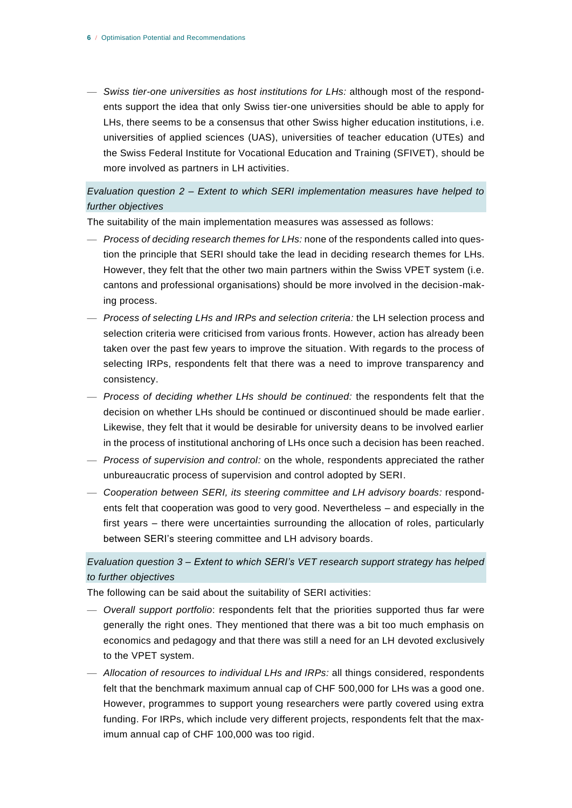— *Swiss tier-one universities as host institutions for LHs:* although most of the respondents support the idea that only Swiss tier-one universities should be able to apply for LHs, there seems to be a consensus that other Swiss higher education institutions, i.e. universities of applied sciences (UAS), universities of teacher education (UTEs) and the Swiss Federal Institute for Vocational Education and Training (SFIVET), should be more involved as partners in LH activities.

# *Evaluation question 2 – Extent to which SERI implementation measures have helped to further objectives*

The suitability of the main implementation measures was assessed as follows:

- *Process of deciding research themes for LHs:* none of the respondents called into question the principle that SERI should take the lead in deciding research themes for LHs. However, they felt that the other two main partners within the Swiss VPET system (i.e. cantons and professional organisations) should be more involved in the decision-making process.
- *Process of selecting LHs and IRPs and selection criteria:* the LH selection process and selection criteria were criticised from various fronts. However, action has already been taken over the past few years to improve the situation. With regards to the process of selecting IRPs, respondents felt that there was a need to improve transparency and consistency.
- *Process of deciding whether LHs should be continued:* the respondents felt that the decision on whether LHs should be continued or discontinued should be made earlier. Likewise, they felt that it would be desirable for university deans to be involved earlier in the process of institutional anchoring of LHs once such a decision has been reached.
- *Process of supervision and control:* on the whole, respondents appreciated the rather unbureaucratic process of supervision and control adopted by SERI.
- *Cooperation between SERI, its steering committee and LH advisory boards:* respondents felt that cooperation was good to very good. Nevertheless – and especially in the first years – there were uncertainties surrounding the allocation of roles, particularly between SERI's steering committee and LH advisory boards.

# *Evaluation question 3 – Extent to which SERI's VET research support strategy has helped to further objectives*

The following can be said about the suitability of SERI activities:

- *Overall support portfolio*: respondents felt that the priorities supported thus far were generally the right ones. They mentioned that there was a bit too much emphasis on economics and pedagogy and that there was still a need for an LH devoted exclusively to the VPET system.
- *Allocation of resources to individual LHs and IRPs:* all things considered, respondents felt that the benchmark maximum annual cap of CHF 500,000 for LHs was a good one. However, programmes to support young researchers were partly covered using extra funding. For IRPs, which include very different projects, respondents felt that the maximum annual cap of CHF 100,000 was too rigid.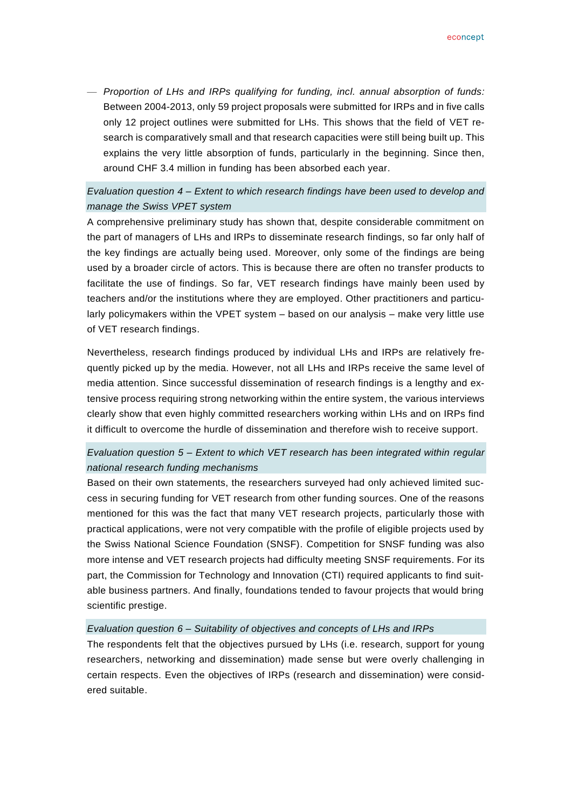— *Proportion of LHs and IRPs qualifying for funding, incl. annual absorption of funds:* Between 2004-2013, only 59 project proposals were submitted for IRPs and in five calls only 12 project outlines were submitted for LHs. This shows that the field of VET research is comparatively small and that research capacities were still being built up. This explains the very little absorption of funds, particularly in the beginning. Since then, around CHF 3.4 million in funding has been absorbed each year.

# *Evaluation question 4 – Extent to which research findings have been used to develop and manage the Swiss VPET system*

A comprehensive preliminary study has shown that, despite considerable commitment on the part of managers of LHs and IRPs to disseminate research findings, so far only half of the key findings are actually being used. Moreover, only some of the findings are being used by a broader circle of actors. This is because there are often no transfer products to facilitate the use of findings. So far, VET research findings have mainly been used by teachers and/or the institutions where they are employed. Other practitioners and particularly policymakers within the VPET system – based on our analysis – make very little use of VET research findings.

Nevertheless, research findings produced by individual LHs and IRPs are relatively frequently picked up by the media. However, not all LHs and IRPs receive the same level of media attention. Since successful dissemination of research findings is a lengthy and extensive process requiring strong networking within the entire system, the various interviews clearly show that even highly committed researchers working within LHs and on IRPs find it difficult to overcome the hurdle of dissemination and therefore wish to receive support.

# *Evaluation question 5 – Extent to which VET research has been integrated within regular national research funding mechanisms*

Based on their own statements, the researchers surveyed had only achieved limited success in securing funding for VET research from other funding sources. One of the reasons mentioned for this was the fact that many VET research projects, particularly those with practical applications, were not very compatible with the profile of eligible projects used by the Swiss National Science Foundation (SNSF). Competition for SNSF funding was also more intense and VET research projects had difficulty meeting SNSF requirements. For its part, the Commission for Technology and Innovation (CTI) required applicants to find suitable business partners. And finally, foundations tended to favour projects that would bring scientific prestige.

#### *Evaluation question 6 – Suitability of objectives and concepts of LHs and IRPs*

The respondents felt that the objectives pursued by LHs (i.e. research, support for young researchers, networking and dissemination) made sense but were overly challenging in certain respects. Even the objectives of IRPs (research and dissemination) were considered suitable.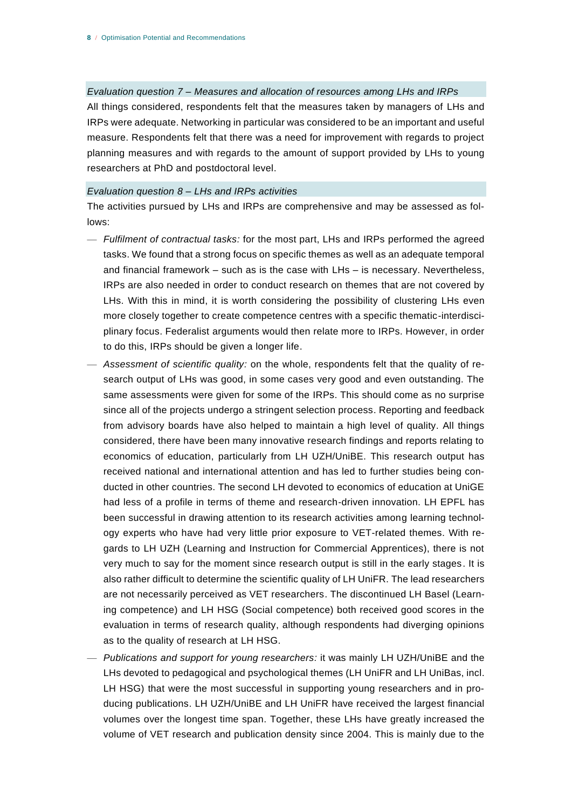*Evaluation question 7 – Measures and allocation of resources among LHs and IRPs* All things considered, respondents felt that the measures taken by managers of LHs and IRPs were adequate. Networking in particular was considered to be an important and useful measure. Respondents felt that there was a need for improvement with regards to project planning measures and with regards to the amount of support provided by LHs to young researchers at PhD and postdoctoral level.

#### *Evaluation question 8 – LHs and IRPs activities*

The activities pursued by LHs and IRPs are comprehensive and may be assessed as follows:

- *Fulfilment of contractual tasks:* for the most part, LHs and IRPs performed the agreed tasks. We found that a strong focus on specific themes as well as an adequate temporal and financial framework – such as is the case with LHs – is necessary. Nevertheless, IRPs are also needed in order to conduct research on themes that are not covered by LHs. With this in mind, it is worth considering the possibility of clustering LHs even more closely together to create competence centres with a specific thematic-interdisciplinary focus. Federalist arguments would then relate more to IRPs. However, in order to do this, IRPs should be given a longer life.
- *Assessment of scientific quality:* on the whole, respondents felt that the quality of research output of LHs was good, in some cases very good and even outstanding. The same assessments were given for some of the IRPs. This should come as no surprise since all of the projects undergo a stringent selection process. Reporting and feedback from advisory boards have also helped to maintain a high level of quality. All things considered, there have been many innovative research findings and reports relating to economics of education, particularly from LH UZH/UniBE. This research output has received national and international attention and has led to further studies being conducted in other countries. The second LH devoted to economics of education at UniGE had less of a profile in terms of theme and research-driven innovation. LH EPFL has been successful in drawing attention to its research activities among learning technology experts who have had very little prior exposure to VET-related themes. With regards to LH UZH (Learning and Instruction for Commercial Apprentices), there is not very much to say for the moment since research output is still in the early stages. It is also rather difficult to determine the scientific quality of LH UniFR. The lead researchers are not necessarily perceived as VET researchers. The discontinued LH Basel (Learning competence) and LH HSG (Social competence) both received good scores in the evaluation in terms of research quality, although respondents had diverging opinions as to the quality of research at LH HSG.
- *Publications and support for young researchers:* it was mainly LH UZH/UniBE and the LHs devoted to pedagogical and psychological themes (LH UniFR and LH UniBas, incl. LH HSG) that were the most successful in supporting young researchers and in producing publications. LH UZH/UniBE and LH UniFR have received the largest financial volumes over the longest time span. Together, these LHs have greatly increased the volume of VET research and publication density since 2004. This is mainly due to the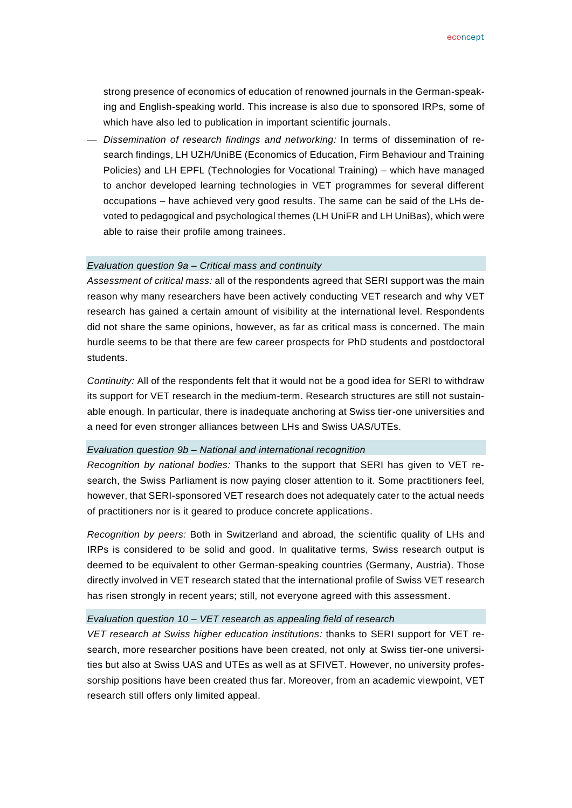strong presence of economics of education of renowned journals in the German-speaking and English-speaking world. This increase is also due to sponsored IRPs, some of which have also led to publication in important scientific journals.

— *Dissemination of research findings and networking:* In terms of dissemination of research findings, LH UZH/UniBE (Economics of Education, Firm Behaviour and Training Policies) and LH EPFL (Technologies for Vocational Training) – which have managed to anchor developed learning technologies in VET programmes for several different occupations – have achieved very good results. The same can be said of the LHs devoted to pedagogical and psychological themes (LH UniFR and LH UniBas), which were able to raise their profile among trainees.

#### *Evaluation question 9a – Critical mass and continuity*

*Assessment of critical mass:* all of the respondents agreed that SERI support was the main reason why many researchers have been actively conducting VET research and why VET research has gained a certain amount of visibility at the international level. Respondents did not share the same opinions, however, as far as critical mass is concerned. The main hurdle seems to be that there are few career prospects for PhD students and postdoctoral students.

*Continuity:* All of the respondents felt that it would not be a good idea for SERI to withdraw its support for VET research in the medium-term. Research structures are still not sustainable enough. In particular, there is inadequate anchoring at Swiss tier-one universities and a need for even stronger alliances between LHs and Swiss UAS/UTEs.

#### *Evaluation question 9b – National and international recognition*

*Recognition by national bodies:* Thanks to the support that SERI has given to VET research, the Swiss Parliament is now paying closer attention to it. Some practitioners feel, however, that SERI-sponsored VET research does not adequately cater to the actual needs of practitioners nor is it geared to produce concrete applications.

*Recognition by peers:* Both in Switzerland and abroad, the scientific quality of LHs and IRPs is considered to be solid and good. In qualitative terms, Swiss research output is deemed to be equivalent to other German-speaking countries (Germany, Austria). Those directly involved in VET research stated that the international profile of Swiss VET research has risen strongly in recent years; still, not everyone agreed with this assessment.

#### *Evaluation question 10 – VET research as appealing field of research*

*VET research at Swiss higher education institutions:* thanks to SERI support for VET research, more researcher positions have been created, not only at Swiss tier-one universities but also at Swiss UAS and UTEs as well as at SFIVET. However, no university professorship positions have been created thus far. Moreover, from an academic viewpoint, VET research still offers only limited appeal.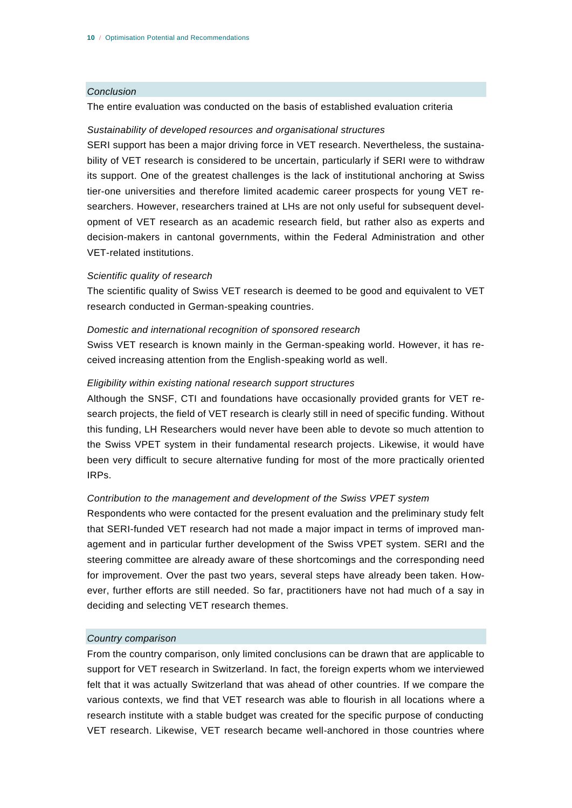#### *Conclusion*

The entire evaluation was conducted on the basis of established evaluation criteria

#### *Sustainability of developed resources and organisational structures*

SERI support has been a major driving force in VET research. Nevertheless, the sustainability of VET research is considered to be uncertain, particularly if SERI were to withdraw its support. One of the greatest challenges is the lack of institutional anchoring at Swiss tier-one universities and therefore limited academic career prospects for young VET researchers. However, researchers trained at LHs are not only useful for subsequent development of VET research as an academic research field, but rather also as experts and decision-makers in cantonal governments, within the Federal Administration and other VET-related institutions.

#### *Scientific quality of research*

The scientific quality of Swiss VET research is deemed to be good and equivalent to VET research conducted in German-speaking countries.

#### *Domestic and international recognition of sponsored research*

Swiss VET research is known mainly in the German-speaking world. However, it has received increasing attention from the English-speaking world as well.

#### *Eligibility within existing national research support structures*

Although the SNSF, CTI and foundations have occasionally provided grants for VET research projects, the field of VET research is clearly still in need of specific funding. Without this funding, LH Researchers would never have been able to devote so much attention to the Swiss VPET system in their fundamental research projects. Likewise, it would have been very difficult to secure alternative funding for most of the more practically oriented IRPs.

#### *Contribution to the management and development of the Swiss VPET system*

Respondents who were contacted for the present evaluation and the preliminary study felt that SERI-funded VET research had not made a major impact in terms of improved management and in particular further development of the Swiss VPET system. SERI and the steering committee are already aware of these shortcomings and the corresponding need for improvement. Over the past two years, several steps have already been taken. However, further efforts are still needed. So far, practitioners have not had much of a say in deciding and selecting VET research themes.

#### *Country comparison*

From the country comparison, only limited conclusions can be drawn that are applicable to support for VET research in Switzerland. In fact, the foreign experts whom we interviewed felt that it was actually Switzerland that was ahead of other countries. If we compare the various contexts, we find that VET research was able to flourish in all locations where a research institute with a stable budget was created for the specific purpose of conducting VET research. Likewise, VET research became well-anchored in those countries where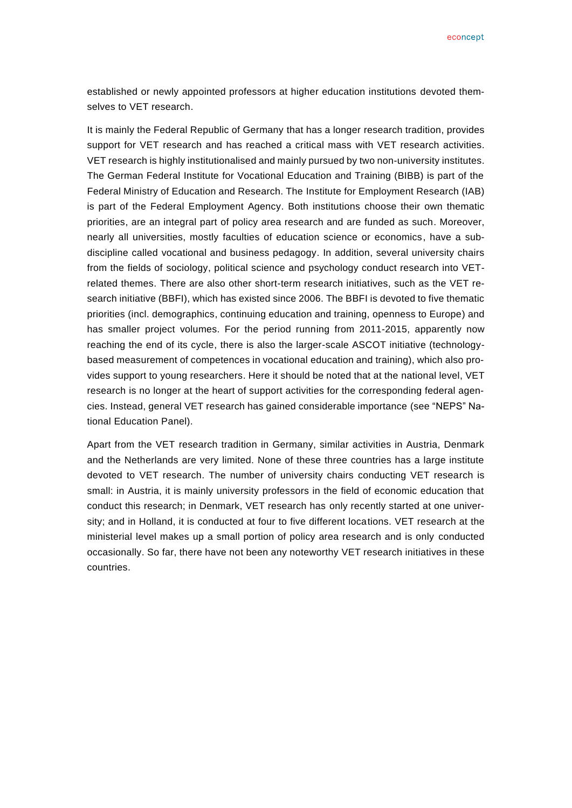econcept

established or newly appointed professors at higher education institutions devoted themselves to VET research.

It is mainly the Federal Republic of Germany that has a longer research tradition, provides support for VET research and has reached a critical mass with VET research activities. VET research is highly institutionalised and mainly pursued by two non-university institutes. The German Federal Institute for Vocational Education and Training (BIBB) is part of the Federal Ministry of Education and Research. The Institute for Employment Research (IAB) is part of the Federal Employment Agency. Both institutions choose their own thematic priorities, are an integral part of policy area research and are funded as such. Moreover, nearly all universities, mostly faculties of education science or economics, have a subdiscipline called vocational and business pedagogy. In addition, several university chairs from the fields of sociology, political science and psychology conduct research into VETrelated themes. There are also other short-term research initiatives, such as the VET research initiative (BBFI), which has existed since 2006. The BBFI is devoted to five thematic priorities (incl. demographics, continuing education and training, openness to Europe) and has smaller project volumes. For the period running from 2011-2015, apparently now reaching the end of its cycle, there is also the larger-scale ASCOT initiative (technologybased measurement of competences in vocational education and training), which also provides support to young researchers. Here it should be noted that at the national level, VET research is no longer at the heart of support activities for the corresponding federal agencies. Instead, general VET research has gained considerable importance (see "NEPS" National Education Panel).

Apart from the VET research tradition in Germany, similar activities in Austria, Denmark and the Netherlands are very limited. None of these three countries has a large institute devoted to VET research. The number of university chairs conducting VET research is small: in Austria, it is mainly university professors in the field of economic education that conduct this research; in Denmark, VET research has only recently started at one university; and in Holland, it is conducted at four to five different locations. VET research at the ministerial level makes up a small portion of policy area research and is only conducted occasionally. So far, there have not been any noteworthy VET research initiatives in these countries.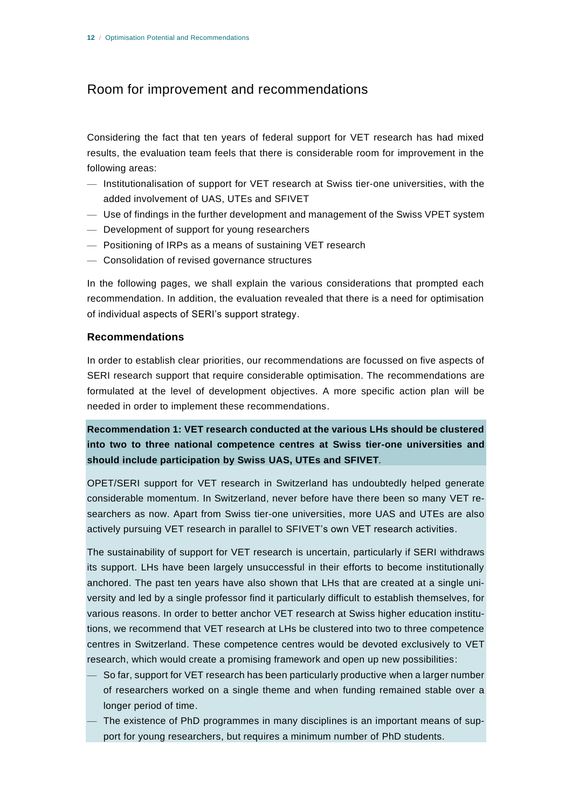# Room for improvement and recommendations

Considering the fact that ten years of federal support for VET research has had mixed results, the evaluation team feels that there is considerable room for improvement in the following areas:

- Institutionalisation of support for VET research at Swiss tier-one universities, with the added involvement of UAS, UTEs and SFIVET
- Use of findings in the further development and management of the Swiss VPET system
- Development of support for young researchers
- Positioning of IRPs as a means of sustaining VET research
- Consolidation of revised governance structures

In the following pages, we shall explain the various considerations that prompted each recommendation. In addition, the evaluation revealed that there is a need for optimisation of individual aspects of SERI's support strategy.

#### **Recommendations**

In order to establish clear priorities, our recommendations are focussed on five aspects of SERI research support that require considerable optimisation. The recommendations are formulated at the level of development objectives. A more specific action plan will be needed in order to implement these recommendations.

**Recommendation 1: VET research conducted at the various LHs should be clustered into two to three national competence centres at Swiss tier-one universities and should include participation by Swiss UAS, UTEs and SFIVET***.*

OPET/SERI support for VET research in Switzerland has undoubtedly helped generate considerable momentum. In Switzerland, never before have there been so many VET researchers as now. Apart from Swiss tier-one universities, more UAS and UTEs are also actively pursuing VET research in parallel to SFIVET's own VET research activities.

The sustainability of support for VET research is uncertain, particularly if SERI withdraws its support. LHs have been largely unsuccessful in their efforts to become institutionally anchored. The past ten years have also shown that LHs that are created at a single university and led by a single professor find it particularly difficult to establish themselves, for various reasons. In order to better anchor VET research at Swiss higher education institutions, we recommend that VET research at LHs be clustered into two to three competence centres in Switzerland. These competence centres would be devoted exclusively to VET research, which would create a promising framework and open up new possibilities:

- So far, support for VET research has been particularly productive when a larger number of researchers worked on a single theme and when funding remained stable over a longer period of time.
- The existence of PhD programmes in many disciplines is an important means of support for young researchers, but requires a minimum number of PhD students.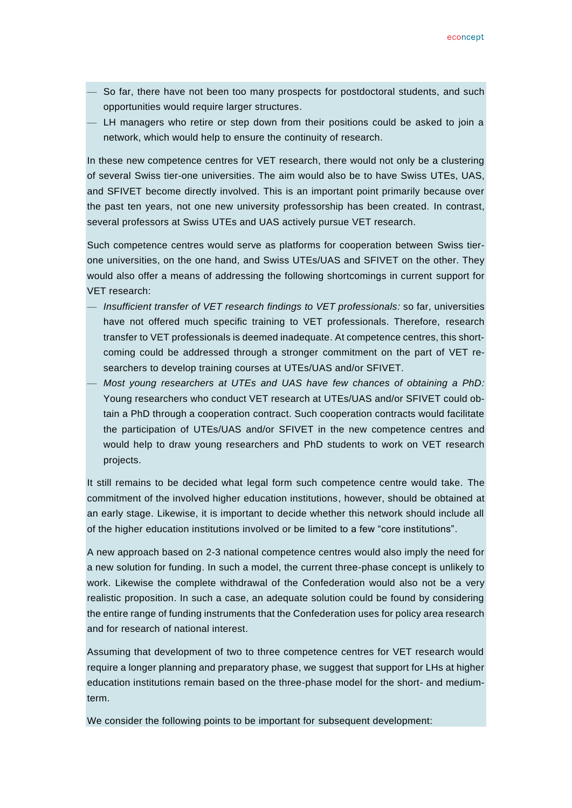- So far, there have not been too many prospects for postdoctoral students, and such opportunities would require larger structures.
- LH managers who retire or step down from their positions could be asked to join a network, which would help to ensure the continuity of research.

In these new competence centres for VET research, there would not only be a clustering of several Swiss tier-one universities. The aim would also be to have Swiss UTEs, UAS, and SFIVET become directly involved. This is an important point primarily because over the past ten years, not one new university professorship has been created. In contrast, several professors at Swiss UTEs and UAS actively pursue VET research.

Such competence centres would serve as platforms for cooperation between Swiss tierone universities, on the one hand, and Swiss UTEs/UAS and SFIVET on the other. They would also offer a means of addressing the following shortcomings in current support for VET research:

- *Insufficient transfer of VET research findings to VET professionals:* so far, universities have not offered much specific training to VET professionals. Therefore, research transfer to VET professionals is deemed inadequate. At competence centres, this shortcoming could be addressed through a stronger commitment on the part of VET researchers to develop training courses at UTEs/UAS and/or SFIVET.
- *Most young researchers at UTEs and UAS have few chances of obtaining a PhD:* Young researchers who conduct VET research at UTEs/UAS and/or SFIVET could obtain a PhD through a cooperation contract. Such cooperation contracts would facilitate the participation of UTEs/UAS and/or SFIVET in the new competence centres and would help to draw young researchers and PhD students to work on VET research projects.

It still remains to be decided what legal form such competence centre would take. The commitment of the involved higher education institutions, however, should be obtained at an early stage. Likewise, it is important to decide whether this network should include all of the higher education institutions involved or be limited to a few "core institutions".

A new approach based on 2-3 national competence centres would also imply the need for a new solution for funding. In such a model, the current three-phase concept is unlikely to work. Likewise the complete withdrawal of the Confederation would also not be a very realistic proposition. In such a case, an adequate solution could be found by considering the entire range of funding instruments that the Confederation uses for policy area research and for research of national interest.

Assuming that development of two to three competence centres for VET research would require a longer planning and preparatory phase, we suggest that support for LHs at higher education institutions remain based on the three-phase model for the short- and mediumterm.

We consider the following points to be important for subsequent development: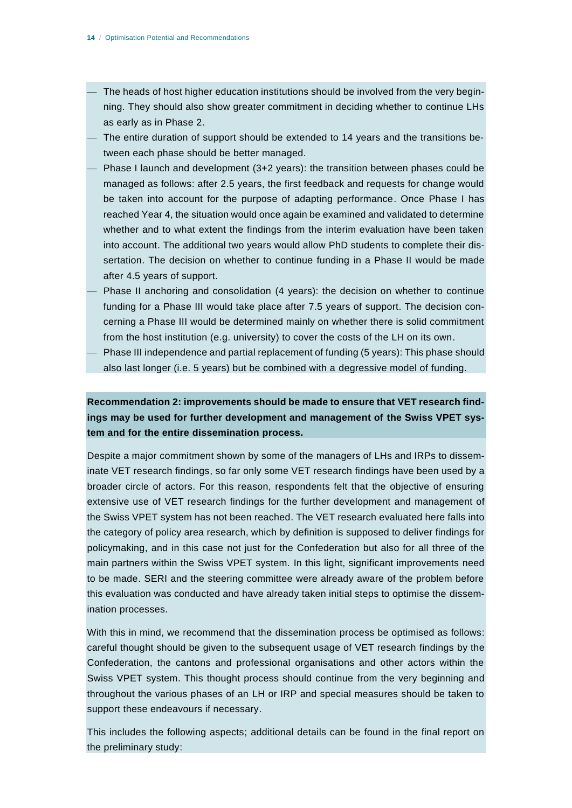- The heads of host higher education institutions should be involved from the very beginning. They should also show greater commitment in deciding whether to continue LHs as early as in Phase 2.
- The entire duration of support should be extended to 14 years and the transitions between each phase should be better managed.
- Phase I launch and development (3+2 years): the transition between phases could be managed as follows: after 2.5 years, the first feedback and requests for change would be taken into account for the purpose of adapting performance. Once Phase I has reached Year 4, the situation would once again be examined and validated to determine whether and to what extent the findings from the interim evaluation have been taken into account. The additional two years would allow PhD students to complete their dissertation. The decision on whether to continue funding in a Phase II would be made after 4.5 years of support.
- Phase II anchoring and consolidation (4 years): the decision on whether to continue funding for a Phase III would take place after 7.5 years of support. The decision concerning a Phase III would be determined mainly on whether there is solid commitment from the host institution (e.g. university) to cover the costs of the LH on its own.
- Phase III independence and partial replacement of funding (5 years): This phase should also last longer (i.e. 5 years) but be combined with a degressive model of funding.

**Recommendation 2: improvements should be made to ensure that VET research findings may be used for further development and management of the Swiss VPET system and for the entire dissemination process.**

Despite a major commitment shown by some of the managers of LHs and IRPs to disseminate VET research findings, so far only some VET research findings have been used by a broader circle of actors. For this reason, respondents felt that the objective of ensuring extensive use of VET research findings for the further development and management of the Swiss VPET system has not been reached. The VET research evaluated here falls into the category of policy area research, which by definition is supposed to deliver findings for policymaking, and in this case not just for the Confederation but also for all three of the main partners within the Swiss VPET system. In this light, significant improvements need to be made. SERI and the steering committee were already aware of the problem before this evaluation was conducted and have already taken initial steps to optimise the dissemination processes.

With this in mind, we recommend that the dissemination process be optimised as follows: careful thought should be given to the subsequent usage of VET research findings by the Confederation, the cantons and professional organisations and other actors within the Swiss VPET system. This thought process should continue from the very beginning and throughout the various phases of an LH or IRP and special measures should be taken to support these endeavours if necessary.

This includes the following aspects; additional details can be found in the final report on the preliminary study: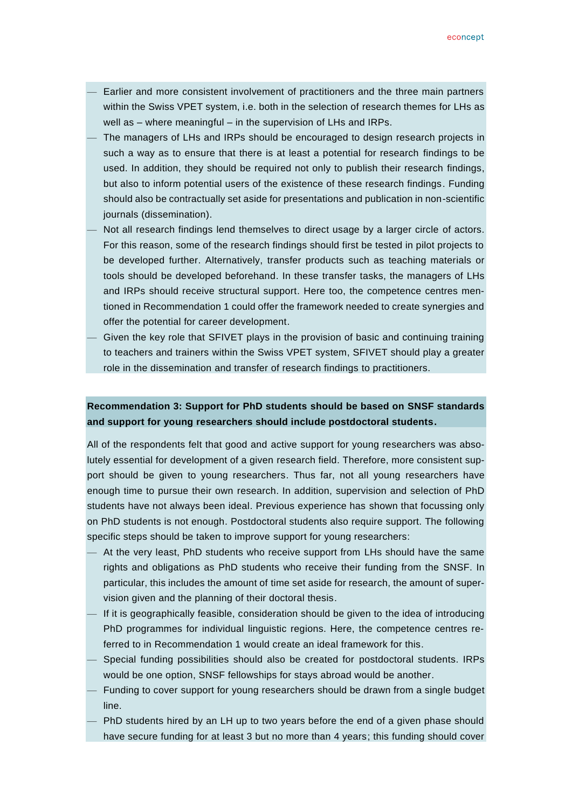- Earlier and more consistent involvement of practitioners and the three main partners within the Swiss VPET system, i.e. both in the selection of research themes for LHs as well as – where meaningful – in the supervision of LHs and IRPs.
- The managers of LHs and IRPs should be encouraged to design research projects in such a way as to ensure that there is at least a potential for research findings to be used. In addition, they should be required not only to publish their research findings, but also to inform potential users of the existence of these research findings. Funding should also be contractually set aside for presentations and publication in non-scientific journals (dissemination).
- Not all research findings lend themselves to direct usage by a larger circle of actors. For this reason, some of the research findings should first be tested in pilot projects to be developed further. Alternatively, transfer products such as teaching materials or tools should be developed beforehand. In these transfer tasks, the managers of LHs and IRPs should receive structural support. Here too, the competence centres mentioned in Recommendation 1 could offer the framework needed to create synergies and offer the potential for career development.
- Given the key role that SFIVET plays in the provision of basic and continuing training to teachers and trainers within the Swiss VPET system, SFIVET should play a greater role in the dissemination and transfer of research findings to practitioners.

# **Recommendation 3: Support for PhD students should be based on SNSF standards and support for young researchers should include postdoctoral students.**

All of the respondents felt that good and active support for young researchers was absolutely essential for development of a given research field. Therefore, more consistent support should be given to young researchers. Thus far, not all young researchers have enough time to pursue their own research. In addition, supervision and selection of PhD students have not always been ideal. Previous experience has shown that focussing only on PhD students is not enough. Postdoctoral students also require support. The following specific steps should be taken to improve support for young researchers:

- At the very least, PhD students who receive support from LHs should have the same rights and obligations as PhD students who receive their funding from the SNSF. In particular, this includes the amount of time set aside for research, the amount of supervision given and the planning of their doctoral thesis.
- If it is geographically feasible, consideration should be given to the idea of introducing PhD programmes for individual linguistic regions. Here, the competence centres referred to in Recommendation 1 would create an ideal framework for this.
- Special funding possibilities should also be created for postdoctoral students. IRPs would be one option, SNSF fellowships for stays abroad would be another.
- Funding to cover support for young researchers should be drawn from a single budget line.
- PhD students hired by an LH up to two years before the end of a given phase should have secure funding for at least 3 but no more than 4 years; this funding should cover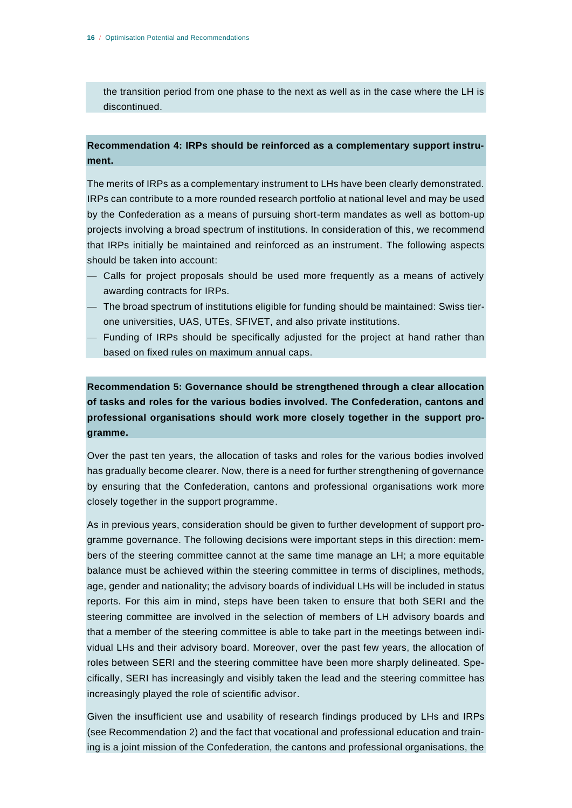the transition period from one phase to the next as well as in the case where the LH is discontinued.

## **Recommendation 4: IRPs should be reinforced as a complementary support instrument.**

The merits of IRPs as a complementary instrument to LHs have been clearly demonstrated. IRPs can contribute to a more rounded research portfolio at national level and may be used by the Confederation as a means of pursuing short-term mandates as well as bottom-up projects involving a broad spectrum of institutions. In consideration of this, we recommend that IRPs initially be maintained and reinforced as an instrument. The following aspects should be taken into account:

- Calls for project proposals should be used more frequently as a means of actively awarding contracts for IRPs.
- The broad spectrum of institutions eligible for funding should be maintained: Swiss tierone universities, UAS, UTEs, SFIVET, and also private institutions.
- Funding of IRPs should be specifically adjusted for the project at hand rather than based on fixed rules on maximum annual caps.

**Recommendation 5: Governance should be strengthened through a clear allocation of tasks and roles for the various bodies involved. The Confederation, cantons and professional organisations should work more closely together in the support programme.**

Over the past ten years, the allocation of tasks and roles for the various bodies involved has gradually become clearer. Now, there is a need for further strengthening of governance by ensuring that the Confederation, cantons and professional organisations work more closely together in the support programme.

As in previous years, consideration should be given to further development of support programme governance. The following decisions were important steps in this direction: members of the steering committee cannot at the same time manage an LH; a more equitable balance must be achieved within the steering committee in terms of disciplines, methods, age, gender and nationality; the advisory boards of individual LHs will be included in status reports. For this aim in mind, steps have been taken to ensure that both SERI and the steering committee are involved in the selection of members of LH advisory boards and that a member of the steering committee is able to take part in the meetings between individual LHs and their advisory board. Moreover, over the past few years, the allocation of roles between SERI and the steering committee have been more sharply delineated. Specifically, SERI has increasingly and visibly taken the lead and the steering committee has increasingly played the role of scientific advisor.

Given the insufficient use and usability of research findings produced by LHs and IRPs (see Recommendation 2) and the fact that vocational and professional education and training is a joint mission of the Confederation, the cantons and professional organisations, the